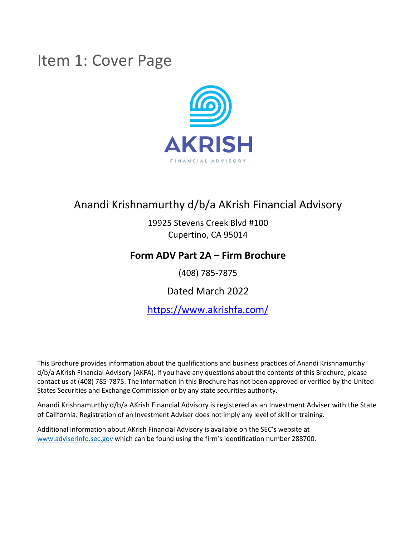## Item 1: Cover Page



## Anandi Krishnamurthy d/b/a AKrish Financial Advisory

19925 Stevens Creek Blvd #100 Cupertino, CA 95014

## **Form ADV Part 2A – Firm Brochure**

(408) 785-7875

Dated March 2022

https://www.akrishfa.com/

This Brochure provides information about the qualifications and business practices of Anandi Krishnamurthy d/b/a AKrish Financial Advisory (AKFA). If you have any questions about the contents of this Brochure, please contact us at (408) 785-7875. The information in this Brochure has not been approved or verified by the United States Securities and Exchange Commission or by any state securities authority.

Anandi Krishnamurthy d/b/a AKrish Financial Advisory is registered as an Investment Adviser with the State of California. Registration of an Investment Adviser does not imply any level of skill or training.

Additional information about AKrish Financial Advisory is available on the SEC's website at www.adviserinfo.sec.gov which can be found using the firm's identification number 288700.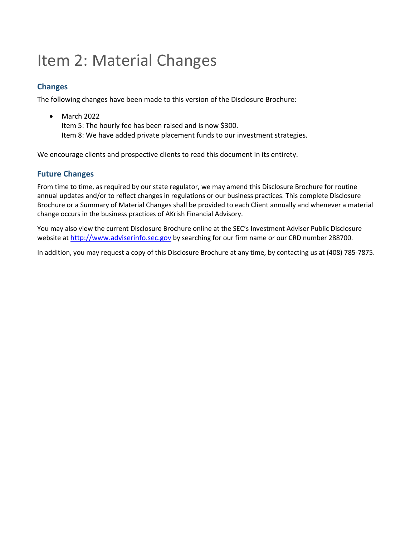## Item 2: Material Changes

### **Changes**

The following changes have been made to this version of the Disclosure Brochure:

• March 2022 Item 5: The hourly fee has been raised and is now \$300. Item 8: We have added private placement funds to our investment strategies.

We encourage clients and prospective clients to read this document in its entirety.

### **Future Changes**

From time to time, as required by our state regulator, we may amend this Disclosure Brochure for routine annual updates and/or to reflect changes in regulations or our business practices. This complete Disclosure Brochure or a Summary of Material Changes shall be provided to each Client annually and whenever a material change occurs in the business practices of AKrish Financial Advisory.

You may also view the current Disclosure Brochure online at the SEC's Investment Adviser Public Disclosure website at http://www.adviserinfo.sec.gov by searching for our firm name or our CRD number 288700.

In addition, you may request a copy of this Disclosure Brochure at any time, by contacting us at (408) 785-7875.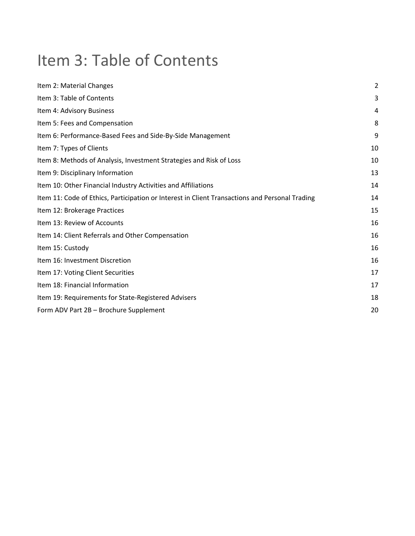## Item 3: Table of Contents

| Item 2: Material Changes                                                                       | $\overline{2}$ |
|------------------------------------------------------------------------------------------------|----------------|
| Item 3: Table of Contents                                                                      | 3              |
| Item 4: Advisory Business                                                                      | 4              |
| Item 5: Fees and Compensation                                                                  | 8              |
| Item 6: Performance-Based Fees and Side-By-Side Management                                     | 9              |
| Item 7: Types of Clients                                                                       | 10             |
| Item 8: Methods of Analysis, Investment Strategies and Risk of Loss                            | 10             |
| Item 9: Disciplinary Information                                                               | 13             |
| Item 10: Other Financial Industry Activities and Affiliations                                  | 14             |
| Item 11: Code of Ethics, Participation or Interest in Client Transactions and Personal Trading | 14             |
| Item 12: Brokerage Practices                                                                   | 15             |
| Item 13: Review of Accounts                                                                    | 16             |
| Item 14: Client Referrals and Other Compensation                                               | 16             |
| Item 15: Custody                                                                               | 16             |
| Item 16: Investment Discretion                                                                 | 16             |
| Item 17: Voting Client Securities                                                              | 17             |
| Item 18: Financial Information                                                                 | 17             |
| Item 19: Requirements for State-Registered Advisers                                            | 18             |
| Form ADV Part 2B - Brochure Supplement                                                         | 20             |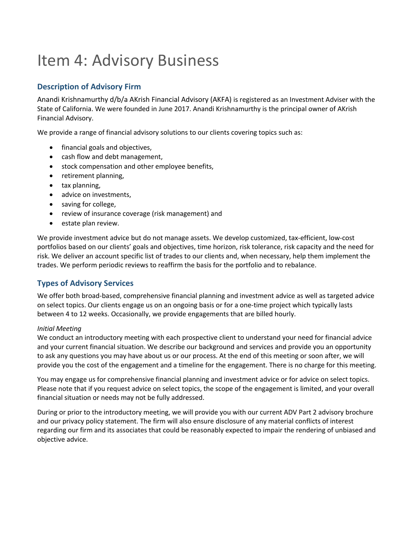## Item 4: Advisory Business

## **Description of Advisory Firm**

Anandi Krishnamurthy d/b/a AKrish Financial Advisory (AKFA) is registered as an Investment Adviser with the State of California. We were founded in June 2017. Anandi Krishnamurthy is the principal owner of AKrish Financial Advisory.

We provide a range of financial advisory solutions to our clients covering topics such as:

- financial goals and objectives,
- cash flow and debt management,
- stock compensation and other employee benefits,
- retirement planning,
- tax planning,
- advice on investments,
- saving for college,
- review of insurance coverage (risk management) and
- estate plan review.

We provide investment advice but do not manage assets. We develop customized, tax-efficient, low-cost portfolios based on our clients' goals and objectives, time horizon, risk tolerance, risk capacity and the need for risk. We deliver an account specific list of trades to our clients and, when necessary, help them implement the trades. We perform periodic reviews to reaffirm the basis for the portfolio and to rebalance.

### **Types of Advisory Services**

We offer both broad-based, comprehensive financial planning and investment advice as well as targeted advice on select topics. Our clients engage us on an ongoing basis or for a one-time project which typically lasts between 4 to 12 weeks. Occasionally, we provide engagements that are billed hourly.

#### *Initial Meeting*

We conduct an introductory meeting with each prospective client to understand your need for financial advice and your current financial situation. We describe our background and services and provide you an opportunity to ask any questions you may have about us or our process. At the end of this meeting or soon after, we will provide you the cost of the engagement and a timeline for the engagement. There is no charge for this meeting.

You may engage us for comprehensive financial planning and investment advice or for advice on select topics. Please note that if you request advice on select topics, the scope of the engagement is limited, and your overall financial situation or needs may not be fully addressed.

During or prior to the introductory meeting, we will provide you with our current ADV Part 2 advisory brochure and our privacy policy statement. The firm will also ensure disclosure of any material conflicts of interest regarding our firm and its associates that could be reasonably expected to impair the rendering of unbiased and objective advice.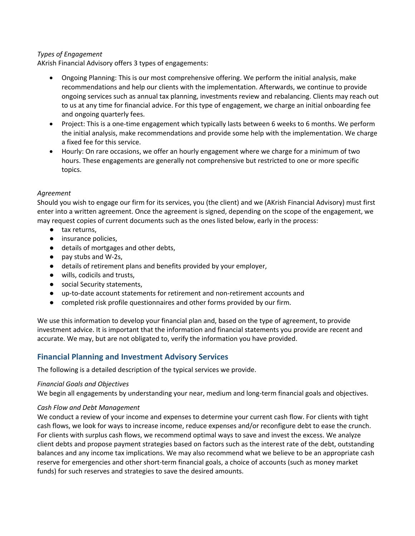#### *Types of Engagement*

AKrish Financial Advisory offers 3 types of engagements:

- Ongoing Planning: This is our most comprehensive offering. We perform the initial analysis, make recommendations and help our clients with the implementation. Afterwards, we continue to provide ongoing services such as annual tax planning, investments review and rebalancing. Clients may reach out to us at any time for financial advice. For this type of engagement, we charge an initial onboarding fee and ongoing quarterly fees.
- Project: This is a one-time engagement which typically lasts between 6 weeks to 6 months. We perform the initial analysis, make recommendations and provide some help with the implementation. We charge a fixed fee for this service.
- Hourly: On rare occasions, we offer an hourly engagement where we charge for a minimum of two hours. These engagements are generally not comprehensive but restricted to one or more specific topics.

#### *Agreement*

Should you wish to engage our firm for its services, you (the client) and we (AKrish Financial Advisory) must first enter into a written agreement. Once the agreement is signed, depending on the scope of the engagement, we may request copies of current documents such as the ones listed below, early in the process:

- tax returns,
- insurance policies,
- details of mortgages and other debts,
- pay stubs and W-2s,
- details of retirement plans and benefits provided by your employer,
- wills, codicils and trusts,
- social Security statements,
- up-to-date account statements for retirement and non-retirement accounts and
- completed risk profile questionnaires and other forms provided by our firm.

We use this information to develop your financial plan and, based on the type of agreement, to provide investment advice. It is important that the information and financial statements you provide are recent and accurate. We may, but are not obligated to, verify the information you have provided.

### **Financial Planning and Investment Advisory Services**

The following is a detailed description of the typical services we provide.

#### *Financial Goals and Objectives*

We begin all engagements by understanding your near, medium and long-term financial goals and objectives.

#### *Cash Flow and Debt Management*

We conduct a review of your income and expenses to determine your current cash flow. For clients with tight cash flows, we look for ways to increase income, reduce expenses and/or reconfigure debt to ease the crunch. For clients with surplus cash flows, we recommend optimal ways to save and invest the excess. We analyze client debts and propose payment strategies based on factors such as the interest rate of the debt, outstanding balances and any income tax implications. We may also recommend what we believe to be an appropriate cash reserve for emergencies and other short-term financial goals, a choice of accounts (such as money market funds) for such reserves and strategies to save the desired amounts.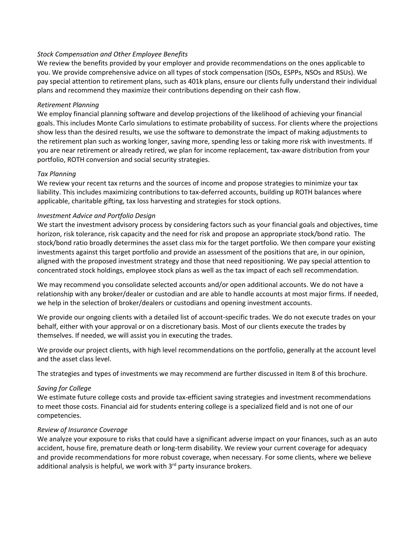#### *Stock Compensation and Other Employee Benefits*

We review the benefits provided by your employer and provide recommendations on the ones applicable to you. We provide comprehensive advice on all types of stock compensation (ISOs, ESPPs, NSOs and RSUs). We pay special attention to retirement plans, such as 401k plans, ensure our clients fully understand their individual plans and recommend they maximize their contributions depending on their cash flow.

#### *Retirement Planning*

We employ financial planning software and develop projections of the likelihood of achieving your financial goals. This includes Monte Carlo simulations to estimate probability of success. For clients where the projections show less than the desired results, we use the software to demonstrate the impact of making adjustments to the retirement plan such as working longer, saving more, spending less or taking more risk with investments. If you are near retirement or already retired, we plan for income replacement, tax-aware distribution from your portfolio, ROTH conversion and social security strategies.

#### *Tax Planning*

We review your recent tax returns and the sources of income and propose strategies to minimize your tax liability. This includes maximizing contributions to tax-deferred accounts, building up ROTH balances where applicable, charitable gifting, tax loss harvesting and strategies for stock options.

#### *Investment Advice and Portfolio Design*

We start the investment advisory process by considering factors such as your financial goals and objectives, time horizon, risk tolerance, risk capacity and the need for risk and propose an appropriate stock/bond ratio. The stock/bond ratio broadly determines the asset class mix for the target portfolio. We then compare your existing investments against this target portfolio and provide an assessment of the positions that are, in our opinion, aligned with the proposed investment strategy and those that need repositioning. We pay special attention to concentrated stock holdings, employee stock plans as well as the tax impact of each sell recommendation.

We may recommend you consolidate selected accounts and/or open additional accounts. We do not have a relationship with any broker/dealer or custodian and are able to handle accounts at most major firms. If needed, we help in the selection of broker/dealers or custodians and opening investment accounts.

We provide our ongoing clients with a detailed list of account-specific trades. We do not execute trades on your behalf, either with your approval or on a discretionary basis. Most of our clients execute the trades by themselves. If needed, we will assist you in executing the trades.

We provide our project clients, with high level recommendations on the portfolio, generally at the account level and the asset class level.

The strategies and types of investments we may recommend are further discussed in Item 8 of this brochure.

#### *Saving for College*

We estimate future college costs and provide tax-efficient saving strategies and investment recommendations to meet those costs. Financial aid for students entering college is a specialized field and is not one of our competencies.

#### *Review of Insurance Coverage*

We analyze your exposure to risks that could have a significant adverse impact on your finances, such as an auto accident, house fire, premature death or long-term disability. We review your current coverage for adequacy and provide recommendations for more robust coverage, when necessary. For some clients, where we believe additional analysis is helpful, we work with  $3<sup>rd</sup>$  party insurance brokers.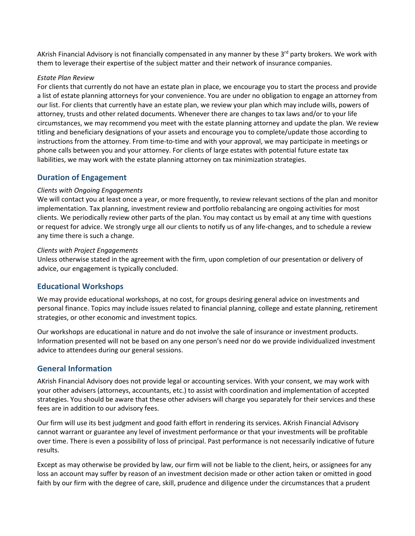AKrish Financial Advisory is not financially compensated in any manner by these 3<sup>rd</sup> party brokers. We work with them to leverage their expertise of the subject matter and their network of insurance companies.

#### *Estate Plan Review*

For clients that currently do not have an estate plan in place, we encourage you to start the process and provide a list of estate planning attorneys for your convenience. You are under no obligation to engage an attorney from our list. For clients that currently have an estate plan, we review your plan which may include wills, powers of attorney, trusts and other related documents. Whenever there are changes to tax laws and/or to your life circumstances, we may recommend you meet with the estate planning attorney and update the plan. We review titling and beneficiary designations of your assets and encourage you to complete/update those according to instructions from the attorney. From time-to-time and with your approval, we may participate in meetings or phone calls between you and your attorney. For clients of large estates with potential future estate tax liabilities, we may work with the estate planning attorney on tax minimization strategies.

#### **Duration of Engagement**

#### *Clients with Ongoing Engagements*

We will contact you at least once a year, or more frequently, to review relevant sections of the plan and monitor implementation. Tax planning, investment review and portfolio rebalancing are ongoing activities for most clients. We periodically review other parts of the plan. You may contact us by email at any time with questions or request for advice. We strongly urge all our clients to notify us of any life-changes, and to schedule a review any time there is such a change.

#### *Clients with Project Engagements*

Unless otherwise stated in the agreement with the firm, upon completion of our presentation or delivery of advice, our engagement is typically concluded.

#### **Educational Workshops**

We may provide educational workshops, at no cost, for groups desiring general advice on investments and personal finance. Topics may include issues related to financial planning, college and estate planning, retirement strategies, or other economic and investment topics.

Our workshops are educational in nature and do not involve the sale of insurance or investment products. Information presented will not be based on any one person's need nor do we provide individualized investment advice to attendees during our general sessions.

#### **General Information**

AKrish Financial Advisory does not provide legal or accounting services. With your consent, we may work with your other advisers (attorneys, accountants, etc.) to assist with coordination and implementation of accepted strategies. You should be aware that these other advisers will charge you separately for their services and these fees are in addition to our advisory fees.

Our firm will use its best judgment and good faith effort in rendering its services. AKrish Financial Advisory cannot warrant or guarantee any level of investment performance or that your investments will be profitable over time. There is even a possibility of loss of principal. Past performance is not necessarily indicative of future results.

Except as may otherwise be provided by law, our firm will not be liable to the client, heirs, or assignees for any loss an account may suffer by reason of an investment decision made or other action taken or omitted in good faith by our firm with the degree of care, skill, prudence and diligence under the circumstances that a prudent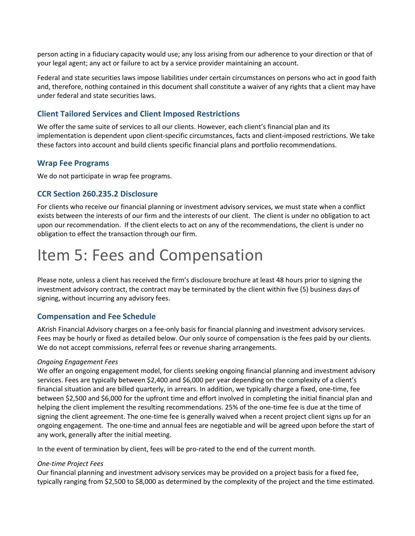person acting in a fiduciary capacity would use; any loss arising from our adherence to your direction or that of your legal agent; any act or failure to act by a service provider maintaining an account.

Federal and state securities laws impose liabilities under certain circumstances on persons who act in good faith and, therefore, nothing contained in this document shall constitute a waiver of any rights that a client may have under federal and state securities laws.

### **Client Tailored Services and Client Imposed Restrictions**

We offer the same suite of services to all our clients. However, each client's financial plan and its implementation is dependent upon client-specific circumstances, facts and client-imposed restrictions. We take these factors into account and build clients specific financial plans and portfolio recommendations.

#### **Wrap Fee Programs**

We do not participate in wrap fee programs.

#### **CCR Section 260.235.2 Disclosure**

For clients who receive our financial planning or investment advisory services, we must state when a conflict exists between the interests of our firm and the interests of our client. The client is under no obligation to act upon our recommendation. If the client elects to act on any of the recommendations, the client is under no obligation to effect the transaction through our firm.

## Item 5: Fees and Compensation

Please note, unless a client has received the firm's disclosure brochure at least 48 hours prior to signing the investment advisory contract, the contract may be terminated by the client within five (5) business days of signing, without incurring any advisory fees.

#### **Compensation and Fee Schedule**

AKrish Financial Advisory charges on a fee-only basis for financial planning and investment advisory services. Fees may be hourly or fixed as detailed below. Our only source of compensation is the fees paid by our clients. We do not accept commissions, referral fees or revenue sharing arrangements.

#### *Ongoing Engagement Fees*

We offer an ongoing engagement model, for clients seeking ongoing financial planning and investment advisory services. Fees are typically between \$2,400 and \$6,000 per year depending on the complexity of a client's financial situation and are billed quarterly, in arrears. In addition, we typically charge a fixed, one-time, fee between \$2,500 and \$6,000 for the upfront time and effort involved in completing the initial financial plan and helping the client implement the resulting recommendations. 25% of the one-time fee is due at the time of signing the client agreement. The one-time fee is generally waived when a recent project client signs up for an ongoing engagement. The one-time and annual fees are negotiable and will be agreed upon before the start of any work, generally after the initial meeting.

In the event of termination by client, fees will be pro-rated to the end of the current month.

#### *One-time Project Fees*

Our financial planning and investment advisory services may be provided on a project basis for a fixed fee, typically ranging from \$2,500 to \$8,000 as determined by the complexity of the project and the time estimated.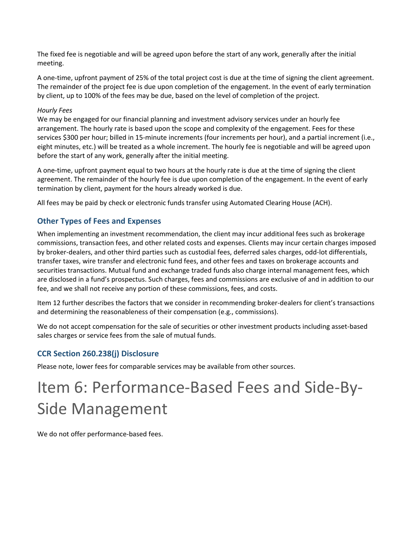The fixed fee is negotiable and will be agreed upon before the start of any work, generally after the initial meeting.

A one-time, upfront payment of 25% of the total project cost is due at the time of signing the client agreement. The remainder of the project fee is due upon completion of the engagement. In the event of early termination by client, up to 100% of the fees may be due, based on the level of completion of the project.

#### *Hourly Fees*

We may be engaged for our financial planning and investment advisory services under an hourly fee arrangement. The hourly rate is based upon the scope and complexity of the engagement. Fees for these services \$300 per hour; billed in 15-minute increments (four increments per hour), and a partial increment (i.e., eight minutes, etc.) will be treated as a whole increment. The hourly fee is negotiable and will be agreed upon before the start of any work, generally after the initial meeting.

A one-time, upfront payment equal to two hours at the hourly rate is due at the time of signing the client agreement. The remainder of the hourly fee is due upon completion of the engagement. In the event of early termination by client, payment for the hours already worked is due.

All fees may be paid by check or electronic funds transfer using Automated Clearing House (ACH).

### **Other Types of Fees and Expenses**

When implementing an investment recommendation, the client may incur additional fees such as brokerage commissions, transaction fees, and other related costs and expenses. Clients may incur certain charges imposed by broker-dealers, and other third parties such as custodial fees, deferred sales charges, odd-lot differentials, transfer taxes, wire transfer and electronic fund fees, and other fees and taxes on brokerage accounts and securities transactions. Mutual fund and exchange traded funds also charge internal management fees, which are disclosed in a fund's prospectus. Such charges, fees and commissions are exclusive of and in addition to our fee, and we shall not receive any portion of these commissions, fees, and costs.

Item 12 further describes the factors that we consider in recommending broker-dealers for client's transactions and determining the reasonableness of their compensation (e.g., commissions).

We do not accept compensation for the sale of securities or other investment products including asset-based sales charges or service fees from the sale of mutual funds.

### **CCR Section 260.238(j) Disclosure**

Please note, lower fees for comparable services may be available from other sources.

## Item 6: Performance-Based Fees and Side-By-Side Management

We do not offer performance-based fees.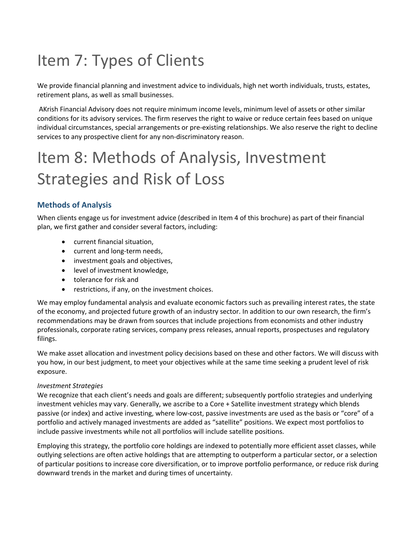## Item 7: Types of Clients

We provide financial planning and investment advice to individuals, high net worth individuals, trusts, estates, retirement plans, as well as small businesses.

AKrish Financial Advisory does not require minimum income levels, minimum level of assets or other similar conditions for its advisory services. The firm reserves the right to waive or reduce certain fees based on unique individual circumstances, special arrangements or pre-existing relationships. We also reserve the right to decline services to any prospective client for any non-discriminatory reason.

# Item 8: Methods of Analysis, Investment Strategies and Risk of Loss

### **Methods of Analysis**

When clients engage us for investment advice (described in Item 4 of this brochure) as part of their financial plan, we first gather and consider several factors, including:

- current financial situation,
- current and long-term needs,
- investment goals and objectives,
- level of investment knowledge,
- tolerance for risk and
- restrictions, if any, on the investment choices.

We may employ fundamental analysis and evaluate economic factors such as prevailing interest rates, the state of the economy, and projected future growth of an industry sector. In addition to our own research, the firm's recommendations may be drawn from sources that include projections from economists and other industry professionals, corporate rating services, company press releases, annual reports, prospectuses and regulatory filings.

We make asset allocation and investment policy decisions based on these and other factors. We will discuss with you how, in our best judgment, to meet your objectives while at the same time seeking a prudent level of risk exposure.

#### *Investment Strategies*

We recognize that each client's needs and goals are different; subsequently portfolio strategies and underlying investment vehicles may vary. Generally, we ascribe to a Core + Satellite investment strategy which blends passive (or index) and active investing, where low-cost, passive investments are used as the basis or "core" of a portfolio and actively managed investments are added as "satellite" positions. We expect most portfolios to include passive investments while not all portfolios will include satellite positions.

Employing this strategy, the portfolio core holdings are indexed to potentially more efficient asset classes, while outlying selections are often active holdings that are attempting to outperform a particular sector, or a selection of particular positions to increase core diversification, or to improve portfolio performance, or reduce risk during downward trends in the market and during times of uncertainty.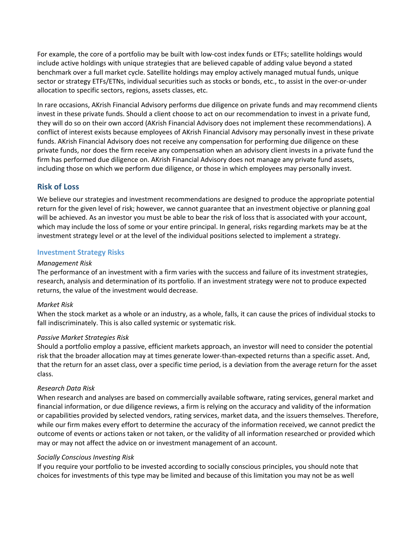For example, the core of a portfolio may be built with low-cost index funds or ETFs; satellite holdings would include active holdings with unique strategies that are believed capable of adding value beyond a stated benchmark over a full market cycle. Satellite holdings may employ actively managed mutual funds, unique sector or strategy ETFs/ETNs, individual securities such as stocks or bonds, etc., to assist in the over-or-under allocation to specific sectors, regions, assets classes, etc.

In rare occasions, AKrish Financial Advisory performs due diligence on private funds and may recommend clients invest in these private funds. Should a client choose to act on our recommendation to invest in a private fund, they will do so on their own accord (AKrish Financial Advisory does not implement these recommendations). A conflict of interest exists because employees of AKrish Financial Advisory may personally invest in these private funds. AKrish Financial Advisory does not receive any compensation for performing due diligence on these private funds, nor does the firm receive any compensation when an advisory client invests in a private fund the firm has performed due diligence on. AKrish Financial Advisory does not manage any private fund assets, including those on which we perform due diligence, or those in which employees may personally invest.

#### **Risk of Loss**

We believe our strategies and investment recommendations are designed to produce the appropriate potential return for the given level of risk; however, we cannot guarantee that an investment objective or planning goal will be achieved. As an investor you must be able to bear the risk of loss that is associated with your account, which may include the loss of some or your entire principal. In general, risks regarding markets may be at the investment strategy level or at the level of the individual positions selected to implement a strategy.

#### **Investment Strategy Risks**

#### *Management Risk*

The performance of an investment with a firm varies with the success and failure of its investment strategies, research, analysis and determination of its portfolio. If an investment strategy were not to produce expected returns, the value of the investment would decrease.

#### *Market Risk*

When the stock market as a whole or an industry, as a whole, falls, it can cause the prices of individual stocks to fall indiscriminately. This is also called systemic or systematic risk.

#### *Passive Market Strategies Risk*

Should a portfolio employ a passive, efficient markets approach, an investor will need to consider the potential risk that the broader allocation may at times generate lower-than-expected returns than a specific asset. And, that the return for an asset class, over a specific time period, is a deviation from the average return for the asset class.

#### *Research Data Risk*

When research and analyses are based on commercially available software, rating services, general market and financial information, or due diligence reviews, a firm is relying on the accuracy and validity of the information or capabilities provided by selected vendors, rating services, market data, and the issuers themselves. Therefore, while our firm makes every effort to determine the accuracy of the information received, we cannot predict the outcome of events or actions taken or not taken, or the validity of all information researched or provided which may or may not affect the advice on or investment management of an account.

#### *Socially Conscious Investing Risk*

If you require your portfolio to be invested according to socially conscious principles, you should note that choices for investments of this type may be limited and because of this limitation you may not be as well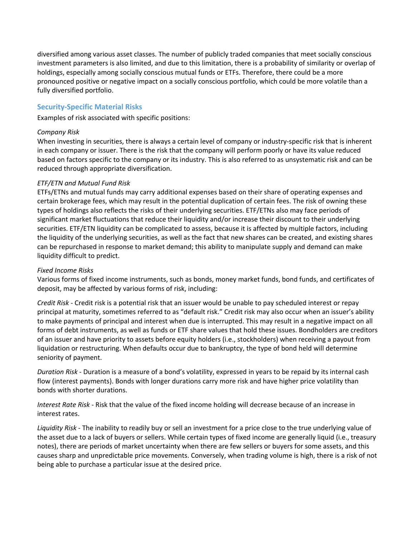diversified among various asset classes. The number of publicly traded companies that meet socially conscious investment parameters is also limited, and due to this limitation, there is a probability of similarity or overlap of holdings, especially among socially conscious mutual funds or ETFs. Therefore, there could be a more pronounced positive or negative impact on a socially conscious portfolio, which could be more volatile than a fully diversified portfolio.

#### **Security-Specific Material Risks**

Examples of risk associated with specific positions:

#### *Company Risk*

When investing in securities, there is always a certain level of company or industry-specific risk that is inherent in each company or issuer. There is the risk that the company will perform poorly or have its value reduced based on factors specific to the company or its industry. This is also referred to as unsystematic risk and can be reduced through appropriate diversification.

#### *ETF/ETN and Mutual Fund Risk*

ETFs/ETNs and mutual funds may carry additional expenses based on their share of operating expenses and certain brokerage fees, which may result in the potential duplication of certain fees. The risk of owning these types of holdings also reflects the risks of their underlying securities. ETF/ETNs also may face periods of significant market fluctuations that reduce their liquidity and/or increase their discount to their underlying securities. ETF/ETN liquidity can be complicated to assess, because it is affected by multiple factors, including the liquidity of the underlying securities, as well as the fact that new shares can be created, and existing shares can be repurchased in response to market demand; this ability to manipulate supply and demand can make liquidity difficult to predict.

#### *Fixed Income Risks*

Various forms of fixed income instruments, such as bonds, money market funds, bond funds, and certificates of deposit, may be affected by various forms of risk, including:

*Credit Risk* - Credit risk is a potential risk that an issuer would be unable to pay scheduled interest or repay principal at maturity, sometimes referred to as "default risk." Credit risk may also occur when an issuer's ability to make payments of principal and interest when due is interrupted. This may result in a negative impact on all forms of debt instruments, as well as funds or ETF share values that hold these issues. Bondholders are creditors of an issuer and have priority to assets before equity holders (i.e., stockholders) when receiving a payout from liquidation or restructuring. When defaults occur due to bankruptcy, the type of bond held will determine seniority of payment.

*Duration Risk* - Duration is a measure of a bond's volatility, expressed in years to be repaid by its internal cash flow (interest payments). Bonds with longer durations carry more risk and have higher price volatility than bonds with shorter durations.

*Interest Rate Risk* - Risk that the value of the fixed income holding will decrease because of an increase in interest rates.

*Liquidity Risk* - The inability to readily buy or sell an investment for a price close to the true underlying value of the asset due to a lack of buyers or sellers. While certain types of fixed income are generally liquid (i.e., treasury notes), there are periods of market uncertainty when there are few sellers or buyers for some assets, and this causes sharp and unpredictable price movements. Conversely, when trading volume is high, there is a risk of not being able to purchase a particular issue at the desired price.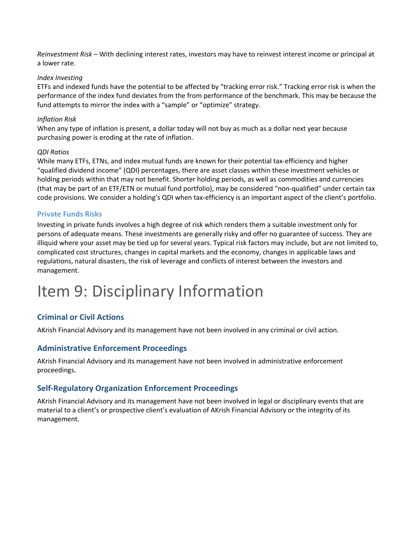*Reinvestment Risk* – With declining interest rates, investors may have to reinvest interest income or principal at a lower rate.

#### *Index Investing*

ETFs and indexed funds have the potential to be affected by "tracking error risk." Tracking error risk is when the performance of the index fund deviates from the from performance of the benchmark. This may be because the fund attempts to mirror the index with a "sample" or "optimize" strategy.

#### *Inflation Risk*

When any type of inflation is present, a dollar today will not buy as much as a dollar next year because purchasing power is eroding at the rate of inflation.

#### *QDI Ratios*

While many ETFs, ETNs, and index mutual funds are known for their potential tax-efficiency and higher "qualified dividend income" (QDI) percentages, there are asset classes within these investment vehicles or holding periods within that may not benefit. Shorter holding periods, as well as commodities and currencies (that may be part of an ETF/ETN or mutual fund portfolio), may be considered "non-qualified" under certain tax code provisions. We consider a holding's QDI when tax-efficiency is an important aspect of the client's portfolio.

#### **Private Funds Risks**

Investing in private funds involves a high degree of risk which renders them a suitable investment only for persons of adequate means. These investments are generally risky and offer no guarantee of success. They are illiquid where your asset may be tied up for several years. Typical risk factors may include, but are not limited to, complicated cost structures, changes in capital markets and the economy, changes in applicable laws and regulations, natural disasters, the risk of leverage and conflicts of interest between the investors and management.

## Item 9: Disciplinary Information

#### **Criminal or Civil Actions**

AKrish Financial Advisory and its management have not been involved in any criminal or civil action.

#### **Administrative Enforcement Proceedings**

AKrish Financial Advisory and its management have not been involved in administrative enforcement proceedings.

#### **Self-Regulatory Organization Enforcement Proceedings**

AKrish Financial Advisory and its management have not been involved in legal or disciplinary events that are material to a client's or prospective client's evaluation of AKrish Financial Advisory or the integrity of its management.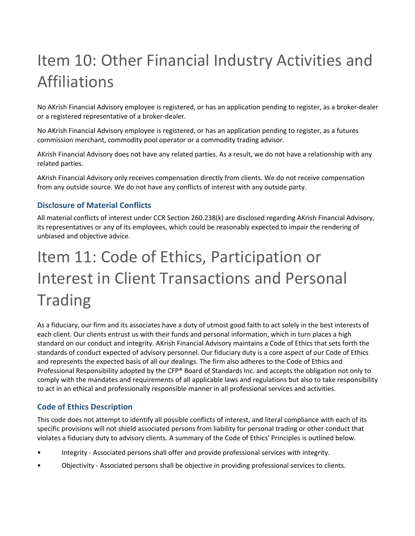## Item 10: Other Financial Industry Activities and Affiliations

No AKrish Financial Advisory employee is registered, or has an application pending to register, as a broker-dealer or a registered representative of a broker-dealer.

No AKrish Financial Advisory employee is registered, or has an application pending to register, as a futures commission merchant, commodity pool operator or a commodity trading advisor.

AKrish Financial Advisory does not have any related parties. As a result, we do not have a relationship with any related parties.

AKrish Financial Advisory only receives compensation directly from clients. We do not receive compensation from any outside source. We do not have any conflicts of interest with any outside party.

## **Disclosure of Material Conflicts**

All material conflicts of interest under CCR Section 260.238(k) are disclosed regarding AKrish Financial Advisory, its representatives or any of its employees, which could be reasonably expected to impair the rendering of unbiased and objective advice.

# Item 11: Code of Ethics, Participation or Interest in Client Transactions and Personal Trading

As a fiduciary, our firm and its associates have a duty of utmost good faith to act solely in the best interests of each client. Our clients entrust us with their funds and personal information, which in turn places a high standard on our conduct and integrity. AKrish Financial Advisory maintains a Code of Ethics that sets forth the standards of conduct expected of advisory personnel. Our fiduciary duty is a core aspect of our Code of Ethics and represents the expected basis of all our dealings. The firm also adheres to the Code of Ethics and Professional Responsibility adopted by the CFP® Board of Standards Inc. and accepts the obligation not only to comply with the mandates and requirements of all applicable laws and regulations but also to take responsibility to act in an ethical and professionally responsible manner in all professional services and activities.

### **Code of Ethics Description**

This code does not attempt to identify all possible conflicts of interest, and literal compliance with each of its specific provisions will not shield associated persons from liability for personal trading or other conduct that violates a fiduciary duty to advisory clients. A summary of the Code of Ethics' Principles is outlined below.

- Integrity Associated persons shall offer and provide professional services with integrity.
- Objectivity Associated persons shall be objective in providing professional services to clients.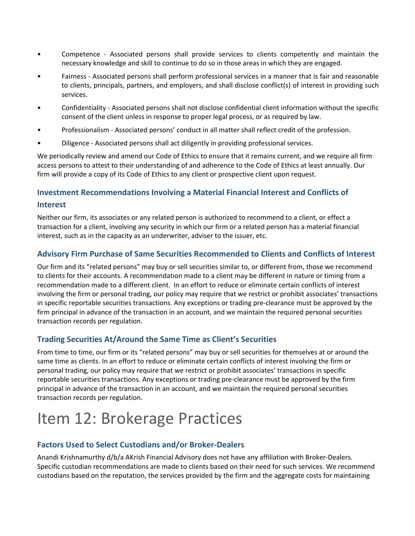- Competence Associated persons shall provide services to clients competently and maintain the necessary knowledge and skill to continue to do so in those areas in which they are engaged.
- Fairness Associated persons shall perform professional services in a manner that is fair and reasonable to clients, principals, partners, and employers, and shall disclose conflict(s) of interest in providing such services.
- Confidentiality Associated persons shall not disclose confidential client information without the specific consent of the client unless in response to proper legal process, or as required by law.
- Professionalism Associated persons' conduct in all matter shall reflect credit of the profession.
- Diligence Associated persons shall act diligently in providing professional services.

We periodically review and amend our Code of Ethics to ensure that it remains current, and we require all firm access persons to attest to their understanding of and adherence to the Code of Ethics at least annually. Our firm will provide a copy of its Code of Ethics to any client or prospective client upon request.

## **Investment Recommendations Involving a Material Financial Interest and Conflicts of Interest**

Neither our firm, its associates or any related person is authorized to recommend to a client, or effect a transaction for a client, involving any security in which our firm or a related person has a material financial interest, such as in the capacity as an underwriter, adviser to the issuer, etc.

### **Advisory Firm Purchase of Same Securities Recommended to Clients and Conflicts of Interest**

Our firm and its "related persons" may buy or sell securities similar to, or different from, those we recommend to clients for their accounts. A recommendation made to a client may be different in nature or timing from a recommendation made to a different client. In an effort to reduce or eliminate certain conflicts of interest involving the firm or personal trading, our policy may require that we restrict or prohibit associates' transactions in specific reportable securities transactions. Any exceptions or trading pre-clearance must be approved by the firm principal in advance of the transaction in an account, and we maintain the required personal securities transaction records per regulation.

### **Trading Securities At/Around the Same Time as Client's Securities**

From time to time, our firm or its "related persons" may buy or sell securities for themselves at or around the same time as clients. In an effort to reduce or eliminate certain conflicts of interest involving the firm or personal trading, our policy may require that we restrict or prohibit associates' transactions in specific reportable securities transactions. Any exceptions or trading pre-clearance must be approved by the firm principal in advance of the transaction in an account, and we maintain the required personal securities transaction records per regulation.

## Item 12: Brokerage Practices

### **Factors Used to Select Custodians and/or Broker-Dealers**

Anandi Krishnamurthy d/b/a AKrish Financial Advisory does not have any affiliation with Broker-Dealers. Specific custodian recommendations are made to clients based on their need for such services. We recommend custodians based on the reputation, the services provided by the firm and the aggregate costs for maintaining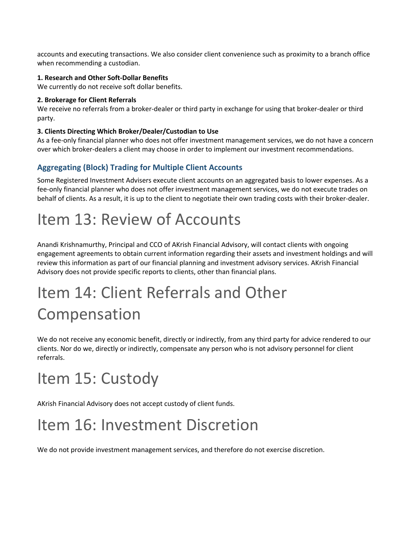accounts and executing transactions. We also consider client convenience such as proximity to a branch office when recommending a custodian.

#### **1. Research and Other Soft-Dollar Benefits**

We currently do not receive soft dollar benefits.

#### **2. Brokerage for Client Referrals**

We receive no referrals from a broker-dealer or third party in exchange for using that broker-dealer or third party.

#### **3. Clients Directing Which Broker/Dealer/Custodian to Use**

As a fee-only financial planner who does not offer investment management services, we do not have a concern over which broker-dealers a client may choose in order to implement our investment recommendations.

## **Aggregating (Block) Trading for Multiple Client Accounts**

Some Registered Investment Advisers execute client accounts on an aggregated basis to lower expenses. As a fee-only financial planner who does not offer investment management services, we do not execute trades on behalf of clients. As a result, it is up to the client to negotiate their own trading costs with their broker-dealer.

## Item 13: Review of Accounts

Anandi Krishnamurthy, Principal and CCO of AKrish Financial Advisory, will contact clients with ongoing engagement agreements to obtain current information regarding their assets and investment holdings and will review this information as part of our financial planning and investment advisory services. AKrish Financial Advisory does not provide specific reports to clients, other than financial plans.

## Item 14: Client Referrals and Other Compensation

We do not receive any economic benefit, directly or indirectly, from any third party for advice rendered to our clients. Nor do we, directly or indirectly, compensate any person who is not advisory personnel for client referrals.

## Item 15: Custody

AKrish Financial Advisory does not accept custody of client funds.

## Item 16: Investment Discretion

We do not provide investment management services, and therefore do not exercise discretion.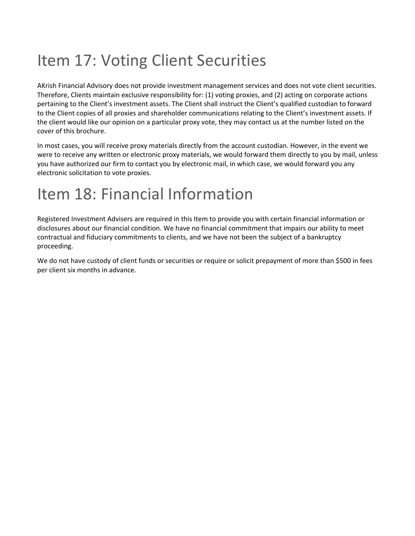## Item 17: Voting Client Securities

AKrish Financial Advisory does not provide investment management services and does not vote client securities. Therefore, Clients maintain exclusive responsibility for: (1) voting proxies, and (2) acting on corporate actions pertaining to the Client's investment assets. The Client shall instruct the Client's qualified custodian to forward to the Client copies of all proxies and shareholder communications relating to the Client's investment assets. If the client would like our opinion on a particular proxy vote, they may contact us at the number listed on the cover of this brochure.

In most cases, you will receive proxy materials directly from the account custodian. However, in the event we were to receive any written or electronic proxy materials, we would forward them directly to you by mail, unless you have authorized our firm to contact you by electronic mail, in which case, we would forward you any electronic solicitation to vote proxies.

## Item 18: Financial Information

Registered Investment Advisers are required in this Item to provide you with certain financial information or disclosures about our financial condition. We have no financial commitment that impairs our ability to meet contractual and fiduciary commitments to clients, and we have not been the subject of a bankruptcy proceeding.

We do not have custody of client funds or securities or require or solicit prepayment of more than \$500 in fees per client six months in advance.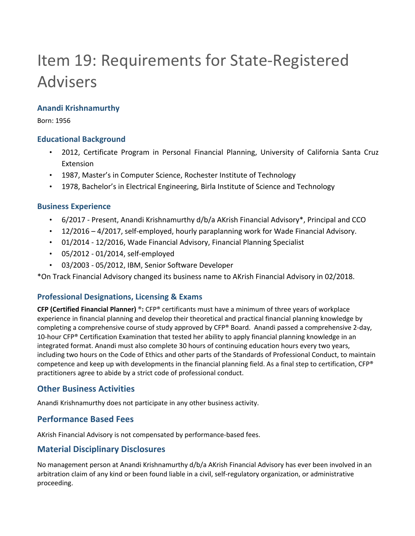## Item 19: Requirements for State-Registered Advisers

### **Anandi Krishnamurthy**

Born: 1956

### **Educational Background**

- 2012, Certificate Program in Personal Financial Planning, University of California Santa Cruz Extension
- 1987, Master's in Computer Science, Rochester Institute of Technology
- 1978, Bachelor's in Electrical Engineering, Birla Institute of Science and Technology

### **Business Experience**

- 6/2017 Present, Anandi Krishnamurthy d/b/a AKrish Financial Advisory\*, Principal and CCO
- 12/2016 4/2017, self-employed, hourly paraplanning work for Wade Financial Advisory.
- 01/2014 12/2016, Wade Financial Advisory, Financial Planning Specialist
- 05/2012 01/2014, self-employed
- 03/2003 05/2012, IBM, Senior Software Developer

\*On Track Financial Advisory changed its business name to AKrish Financial Advisory in 02/2018.

### **Professional Designations, Licensing & Exams**

**CFP (Certified Financial Planner)** ®**:** CFP® certificants must have a minimum of three years of workplace experience in financial planning and develop their theoretical and practical financial planning knowledge by completing a comprehensive course of study approved by CFP® Board. Anandi passed a comprehensive 2-day, 10-hour CFP® Certification Examination that tested her ability to apply financial planning knowledge in an integrated format. Anandi must also complete 30 hours of continuing education hours every two years, including two hours on the Code of Ethics and other parts of the Standards of Professional Conduct, to maintain competence and keep up with developments in the financial planning field. As a final step to certification,  $\text{CFP}^*$ practitioners agree to abide by a strict code of professional conduct.

## **Other Business Activities**

Anandi Krishnamurthy does not participate in any other business activity.

## **Performance Based Fees**

AKrish Financial Advisory is not compensated by performance-based fees.

## **Material Disciplinary Disclosures**

No management person at Anandi Krishnamurthy d/b/a AKrish Financial Advisory has ever been involved in an arbitration claim of any kind or been found liable in a civil, self-regulatory organization, or administrative proceeding.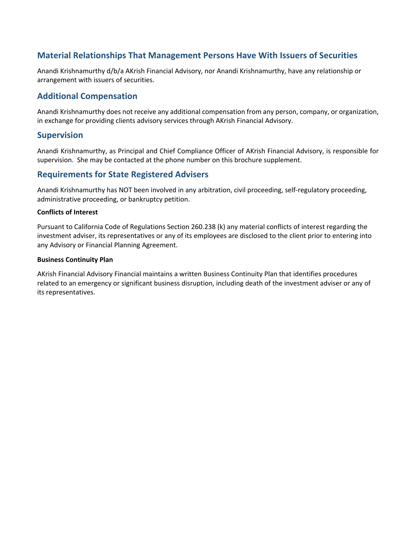## **Material Relationships That Management Persons Have With Issuers of Securities**

Anandi Krishnamurthy d/b/a AKrish Financial Advisory, nor Anandi Krishnamurthy, have any relationship or arrangement with issuers of securities.

### **Additional Compensation**

Anandi Krishnamurthy does not receive any additional compensation from any person, company, or organization, in exchange for providing clients advisory services through AKrish Financial Advisory.

### **Supervision**

Anandi Krishnamurthy, as Principal and Chief Compliance Officer of AKrish Financial Advisory, is responsible for supervision. She may be contacted at the phone number on this brochure supplement.

### **Requirements for State Registered Advisers**

Anandi Krishnamurthy has NOT been involved in any arbitration, civil proceeding, self-regulatory proceeding, administrative proceeding, or bankruptcy petition.

#### **Conflicts of Interest**

Pursuant to California Code of Regulations Section 260.238 (k) any material conflicts of interest regarding the investment adviser, its representatives or any of its employees are disclosed to the client prior to entering into any Advisory or Financial Planning Agreement.

#### **Business Continuity Plan**

AKrish Financial Advisory Financial maintains a written Business Continuity Plan that identifies procedures related to an emergency or significant business disruption, including death of the investment adviser or any of its representatives.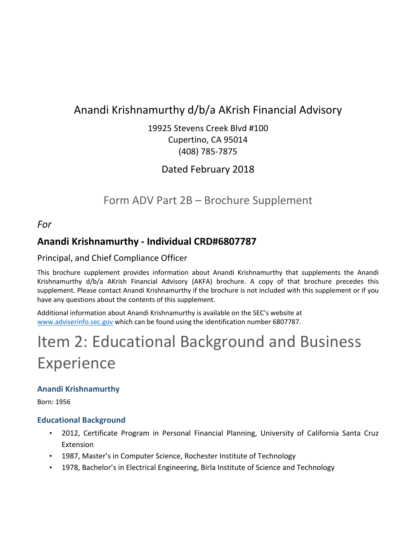## Anandi Krishnamurthy d/b/a AKrish Financial Advisory

19925 Stevens Creek Blvd #100 Cupertino, CA 95014 (408) 785-7875

Dated February 2018

Form ADV Part 2B – Brochure Supplement

*For*

## **Anandi Krishnamurthy - Individual CRD#6807787**

## Principal, and Chief Compliance Officer

This brochure supplement provides information about Anandi Krishnamurthy that supplements the Anandi Krishnamurthy d/b/a AKrish Financial Advisory (AKFA) brochure. A copy of that brochure precedes this supplement. Please contact Anandi Krishnamurthy if the brochure is not included with this supplement or if you have any questions about the contents of this supplement.

Additional information about Anandi Krishnamurthy is available on the SEC's website at www.adviserinfo.sec.gov which can be found using the identification number 6807787.

# Item 2: Educational Background and Business Experience

## **Anandi Krishnamurthy**

Born: 1956

## **Educational Background**

- 2012, Certificate Program in Personal Financial Planning, University of California Santa Cruz Extension
- 1987, Master's in Computer Science, Rochester Institute of Technology
- 1978, Bachelor's in Electrical Engineering, Birla Institute of Science and Technology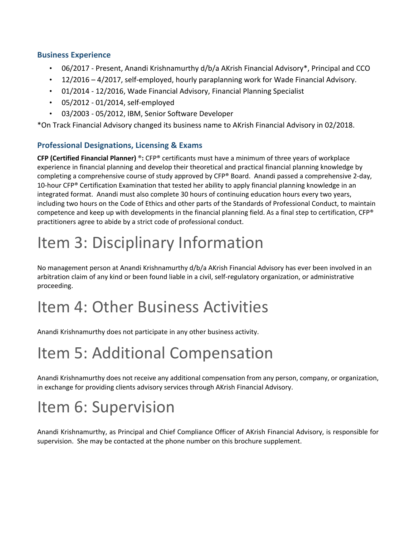### **Business Experience**

- 06/2017 Present, Anandi Krishnamurthy d/b/a AKrish Financial Advisory\*, Principal and CCO
- 12/2016 4/2017, self-employed, hourly paraplanning work for Wade Financial Advisory.
- 01/2014 12/2016, Wade Financial Advisory, Financial Planning Specialist
- 05/2012 01/2014, self-employed
- 03/2003 05/2012, IBM, Senior Software Developer

\*On Track Financial Advisory changed its business name to AKrish Financial Advisory in 02/2018.

## **Professional Designations, Licensing & Exams**

**CFP (Certified Financial Planner)** ®**:** CFP® certificants must have a minimum of three years of workplace experience in financial planning and develop their theoretical and practical financial planning knowledge by completing a comprehensive course of study approved by CFP® Board. Anandi passed a comprehensive 2-day, 10-hour CFP® Certification Examination that tested her ability to apply financial planning knowledge in an integrated format. Anandi must also complete 30 hours of continuing education hours every two years, including two hours on the Code of Ethics and other parts of the Standards of Professional Conduct, to maintain competence and keep up with developments in the financial planning field. As a final step to certification, CFP® practitioners agree to abide by a strict code of professional conduct.

## Item 3: Disciplinary Information

No management person at Anandi Krishnamurthy d/b/a AKrish Financial Advisory has ever been involved in an arbitration claim of any kind or been found liable in a civil, self-regulatory organization, or administrative proceeding.

## Item 4: Other Business Activities

Anandi Krishnamurthy does not participate in any other business activity.

## Item 5: Additional Compensation

Anandi Krishnamurthy does not receive any additional compensation from any person, company, or organization, in exchange for providing clients advisory services through AKrish Financial Advisory.

## Item 6: Supervision

Anandi Krishnamurthy, as Principal and Chief Compliance Officer of AKrish Financial Advisory, is responsible for supervision. She may be contacted at the phone number on this brochure supplement.